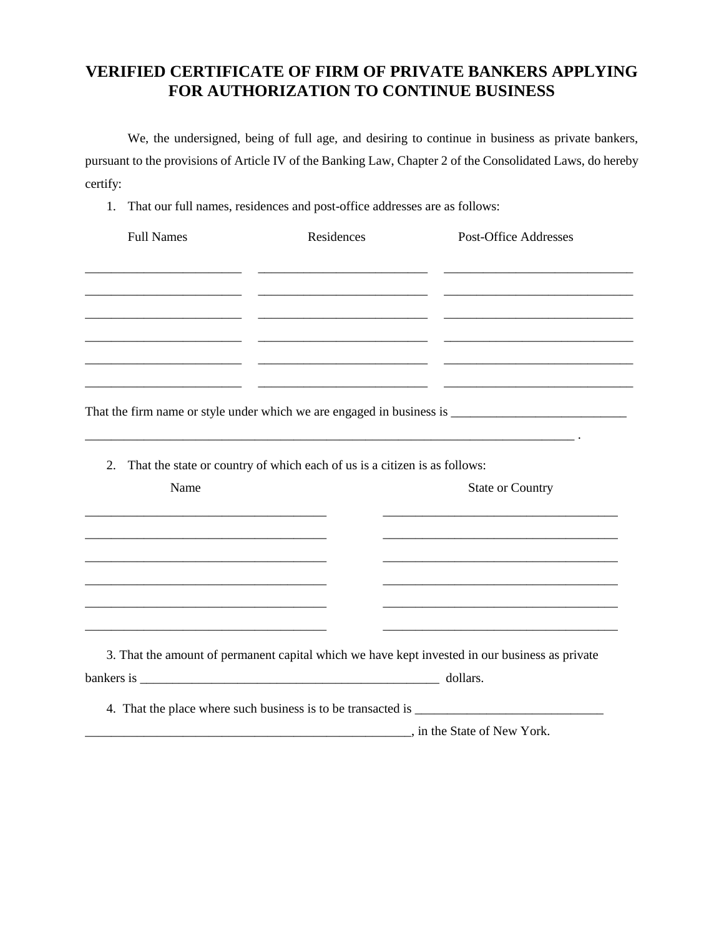## **VERIFIED CERTIFICATE OF FIRM OF PRIVATE BANKERS APPLYING FOR AUTHORIZATION TO CONTINUE BUSINESS**

We, the undersigned, being of full age, and desiring to continue in business as private bankers, pursuant to the provisions of Article IV of the Banking Law, Chapter 2 of the Consolidated Laws, do hereby certify:

1. That our full names, residences and post-office addresses are as follows:

| <b>Full Names</b>                                                                                                   | Residences                                                                | <b>Post-Office Addresses</b>                                                                   |
|---------------------------------------------------------------------------------------------------------------------|---------------------------------------------------------------------------|------------------------------------------------------------------------------------------------|
|                                                                                                                     |                                                                           |                                                                                                |
|                                                                                                                     |                                                                           |                                                                                                |
|                                                                                                                     | <u> 1989 - Johann John Stone, mars et al. (</u>                           |                                                                                                |
|                                                                                                                     |                                                                           |                                                                                                |
|                                                                                                                     |                                                                           |                                                                                                |
|                                                                                                                     |                                                                           |                                                                                                |
| 2.                                                                                                                  | That the state or country of which each of us is a citizen is as follows: |                                                                                                |
| Name                                                                                                                |                                                                           | <b>State or Country</b>                                                                        |
|                                                                                                                     |                                                                           |                                                                                                |
|                                                                                                                     |                                                                           |                                                                                                |
| <u> 1980 - Johann Barbara, martxa alemaniar argumento este alemaniar alemaniar alemaniar alemaniar alemaniar al</u> |                                                                           |                                                                                                |
| <u> 1989 - Johann Barbara, martxa al III-lea (h. 1989).</u>                                                         |                                                                           |                                                                                                |
|                                                                                                                     |                                                                           |                                                                                                |
|                                                                                                                     |                                                                           | 3. That the amount of permanent capital which we have kept invested in our business as private |
|                                                                                                                     |                                                                           |                                                                                                |
|                                                                                                                     |                                                                           |                                                                                                |
|                                                                                                                     | in the State of New York.                                                 |                                                                                                |